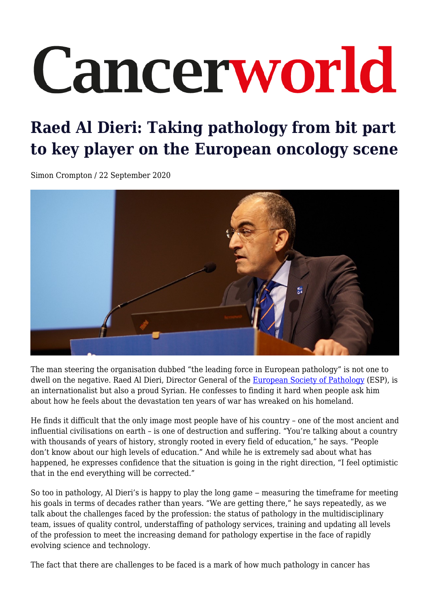# Cancerworld

# **Raed Al Dieri: Taking pathology from bit part to key player on the European oncology scene**

Simon Crompton / 22 September 2020



The man steering the organisation dubbed "the leading force in European pathology" is not one to dwell on the negative. Raed Al Dieri, Director General of the [European Society of Pathology](https://www.esp-pathology.org/) (ESP), is an internationalist but also a proud Syrian. He confesses to finding it hard when people ask him about how he feels about the devastation ten years of war has wreaked on his homeland.

He finds it difficult that the only image most people have of his country – one of the most ancient and influential civilisations on earth – is one of destruction and suffering. "You're talking about a country with thousands of years of history, strongly rooted in every field of education," he says. "People don't know about our high levels of education." And while he is extremely sad about what has happened, he expresses confidence that the situation is going in the right direction, "I feel optimistic that in the end everything will be corrected."

So too in pathology, Al Dieri's is happy to play the long game – measuring the timeframe for meeting his goals in terms of decades rather than years. "We are getting there," he says repeatedly, as we talk about the challenges faced by the profession: the status of pathology in the multidisciplinary team, issues of quality control, understaffing of pathology services, training and updating all levels of the profession to meet the increasing demand for pathology expertise in the face of rapidly evolving science and technology.

The fact that there are challenges to be faced is a mark of how much pathology in cancer has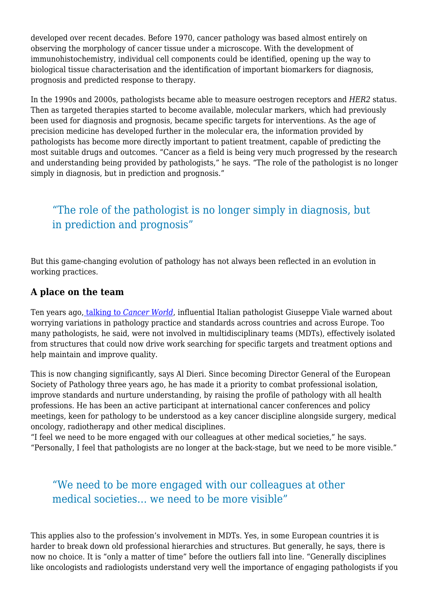developed over recent decades. Before 1970, cancer pathology was based almost entirely on observing the morphology of cancer tissue under a microscope. With the development of immunohistochemistry, individual cell components could be identified, opening up the way to biological tissue characterisation and the identification of important biomarkers for diagnosis, prognosis and predicted response to therapy.

In the 1990s and 2000s, pathologists became able to measure oestrogen receptors and *HER2* status. Then as targeted therapies started to become available, molecular markers, which had previously been used for diagnosis and prognosis, became specific targets for interventions. As the age of precision medicine has developed further in the molecular era, the information provided by pathologists has become more directly important to patient treatment, capable of predicting the most suitable drugs and outcomes. "Cancer as a field is being very much progressed by the research and understanding being provided by pathologists," he says. "The role of the pathologist is no longer simply in diagnosis, but in prediction and prognosis."

# "The role of the pathologist is no longer simply in diagnosis, but in prediction and prognosis"

But this game-changing evolution of pathology has not always been reflected in an evolution in working practices.

#### **A place on the team**

Ten years ago[, talking to](https://cancerworld.net/wp-content/uploads/2017/05/1448_pagina_34-39_masterpiece.pdf) *[Cancer World](https://cancerworld.net/wp-content/uploads/2017/05/1448_pagina_34-39_masterpiece.pdf)*, influential Italian pathologist Giuseppe Viale warned about worrying variations in pathology practice and standards across countries and across Europe. Too many pathologists, he said, were not involved in multidisciplinary teams (MDTs), effectively isolated from structures that could now drive work searching for specific targets and treatment options and help maintain and improve quality.

This is now changing significantly, says Al Dieri. Since becoming Director General of the European Society of Pathology three years ago, he has made it a priority to combat professional isolation, improve standards and nurture understanding, by raising the profile of pathology with all health professions. He has been an active participant at international cancer conferences and policy meetings, keen for pathology to be understood as a key cancer discipline alongside surgery, medical oncology, radiotherapy and other medical disciplines.

"I feel we need to be more engaged with our colleagues at other medical societies," he says. "Personally, I feel that pathologists are no longer at the back-stage, but we need to be more visible."

### "We need to be more engaged with our colleagues at other medical societies… we need to be more visible"

This applies also to the profession's involvement in MDTs. Yes, in some European countries it is harder to break down old professional hierarchies and structures. But generally, he says, there is now no choice. It is "only a matter of time" before the outliers fall into line. "Generally disciplines like oncologists and radiologists understand very well the importance of engaging pathologists if you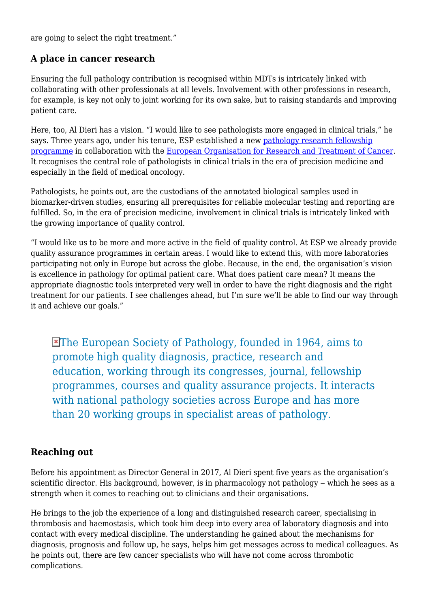are going to select the right treatment."

#### **A place in cancer research**

Ensuring the full pathology contribution is recognised within MDTs is intricately linked with collaborating with other professionals at all levels. Involvement with other professions in research, for example, is key not only to joint working for its own sake, but to raising standards and improving patient care.

Here, too, Al Dieri has a vision. "I would like to see pathologists more engaged in clinical trials," he says. Three years ago, under his tenure, ESP established a new [pathology research fellowship](https://www.esp-pathology.org/working-groups/esp-research-programs-fellowships/esp-eortc-pathology-research-fellowship-program.html) [programme](https://www.esp-pathology.org/working-groups/esp-research-programs-fellowships/esp-eortc-pathology-research-fellowship-program.html) in collaboration with the [European Organisation for Research and Treatment of Cancer.](https://www.eortc.org/) It recognises the central role of pathologists in clinical trials in the era of precision medicine and especially in the field of medical oncology.

Pathologists, he points out, are the custodians of the annotated biological samples used in biomarker-driven studies, ensuring all prerequisites for reliable molecular testing and reporting are fulfilled. So, in the era of precision medicine, involvement in clinical trials is intricately linked with the growing importance of quality control.

"I would like us to be more and more active in the field of quality control. At ESP we already provide quality assurance programmes in certain areas. I would like to extend this, with more laboratories participating not only in Europe but across the globe. Because, in the end, the organisation's vision is excellence in pathology for optimal patient care. What does patient care mean? It means the appropriate diagnostic tools interpreted very well in order to have the right diagnosis and the right treatment for our patients. I see challenges ahead, but I'm sure we'll be able to find our way through it and achieve our goals."

The European Society of Pathology, founded in 1964, aims to promote high quality diagnosis, practice, research and education, working through its congresses, journal, fellowship programmes, courses and quality assurance projects. It interacts with national pathology societies across Europe and has more than 20 working groups in specialist areas of pathology.

#### **Reaching out**

Before his appointment as Director General in 2017, Al Dieri spent five years as the organisation's scientific director. His background, however, is in pharmacology not pathology – which he sees as a strength when it comes to reaching out to clinicians and their organisations.

He brings to the job the experience of a long and distinguished research career, specialising in thrombosis and haemostasis, which took him deep into every area of laboratory diagnosis and into contact with every medical discipline. The understanding he gained about the mechanisms for diagnosis, prognosis and follow up, he says, helps him get messages across to medical colleagues. As he points out, there are few cancer specialists who will have not come across thrombotic complications.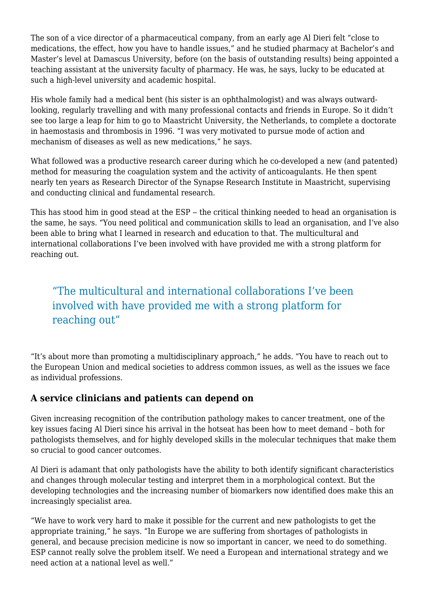The son of a vice director of a pharmaceutical company, from an early age Al Dieri felt "close to medications, the effect, how you have to handle issues," and he studied pharmacy at Bachelor's and Master's level at Damascus University, before (on the basis of outstanding results) being appointed a teaching assistant at the university faculty of pharmacy. He was, he says, lucky to be educated at such a high-level university and academic hospital.

His whole family had a medical bent (his sister is an ophthalmologist) and was always outwardlooking, regularly travelling and with many professional contacts and friends in Europe. So it didn't see too large a leap for him to go to Maastricht University, the Netherlands, to complete a doctorate in haemostasis and thrombosis in 1996. "I was very motivated to pursue mode of action and mechanism of diseases as well as new medications," he says.

What followed was a productive research career during which he co-developed a new (and patented) method for measuring the coagulation system and the activity of anticoagulants. He then spent nearly ten years as Research Director of the Synapse Research Institute in Maastricht, supervising and conducting clinical and fundamental research.

This has stood him in good stead at the ESP – the critical thinking needed to head an organisation is the same, he says. "You need political and communication skills to lead an organisation, and I've also been able to bring what I learned in research and education to that. The multicultural and international collaborations I've been involved with have provided me with a strong platform for reaching out.

# "The multicultural and international collaborations I've been involved with have provided me with a strong platform for reaching out"

"It's about more than promoting a multidisciplinary approach," he adds. "You have to reach out to the European Union and medical societies to address common issues, as well as the issues we face as individual professions.

#### **A service clinicians and patients can depend on**

Given increasing recognition of the contribution pathology makes to cancer treatment, one of the key issues facing Al Dieri since his arrival in the hotseat has been how to meet demand – both for pathologists themselves, and for highly developed skills in the molecular techniques that make them so crucial to good cancer outcomes.

Al Dieri is adamant that only pathologists have the ability to both identify significant characteristics and changes through molecular testing and interpret them in a morphological context. But the developing technologies and the increasing number of biomarkers now identified does make this an increasingly specialist area.

"We have to work very hard to make it possible for the current and new pathologists to get the appropriate training," he says. "In Europe we are suffering from shortages of pathologists in general, and because precision medicine is now so important in cancer, we need to do something. ESP cannot really solve the problem itself. We need a European and international strategy and we need action at a national level as well."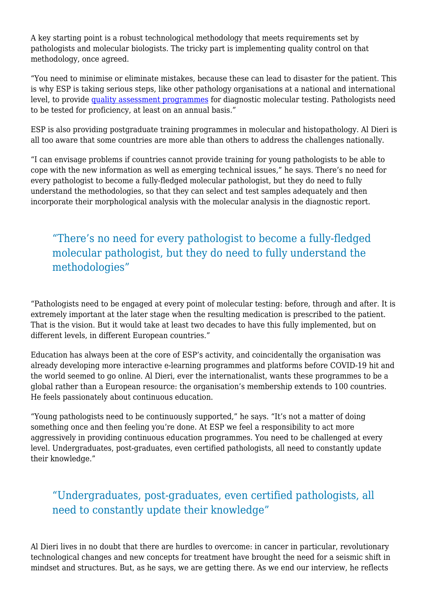A key starting point is a robust technological methodology that meets requirements set by pathologists and molecular biologists. The tricky part is implementing quality control on that methodology, once agreed.

"You need to minimise or eliminate mistakes, because these can lead to disaster for the patient. This is why ESP is taking serious steps, like other pathology organisations at a national and international level, to provide [quality assessment programmes](https://www.esp-pathology.org/esp-foundation/eqa-schemes.html) for diagnostic molecular testing. Pathologists need to be tested for proficiency, at least on an annual basis."

ESP is also providing postgraduate training programmes in molecular and histopathology. Al Dieri is all too aware that some countries are more able than others to address the challenges nationally.

"I can envisage problems if countries cannot provide training for young pathologists to be able to cope with the new information as well as emerging technical issues," he says. There's no need for every pathologist to become a fully-fledged molecular pathologist, but they do need to fully understand the methodologies, so that they can select and test samples adequately and then incorporate their morphological analysis with the molecular analysis in the diagnostic report.

# "There's no need for every pathologist to become a fully-fledged molecular pathologist, but they do need to fully understand the methodologies"

"Pathologists need to be engaged at every point of molecular testing: before, through and after. It is extremely important at the later stage when the resulting medication is prescribed to the patient. That is the vision. But it would take at least two decades to have this fully implemented, but on different levels, in different European countries."

Education has always been at the core of ESP's activity, and coincidentally the organisation was already developing more interactive e-learning programmes and platforms before COVID-19 hit and the world seemed to go online. Al Dieri, ever the internationalist, wants these programmes to be a global rather than a European resource: the organisation's membership extends to 100 countries. He feels passionately about continuous education.

"Young pathologists need to be continuously supported," he says. "It's not a matter of doing something once and then feeling you're done. At ESP we feel a responsibility to act more aggressively in providing continuous education programmes. You need to be challenged at every level. Undergraduates, post-graduates, even certified pathologists, all need to constantly update their knowledge."

# "Undergraduates, post-graduates, even certified pathologists, all need to constantly update their knowledge"

Al Dieri lives in no doubt that there are hurdles to overcome: in cancer in particular, revolutionary technological changes and new concepts for treatment have brought the need for a seismic shift in mindset and structures. But, as he says, we are getting there. As we end our interview, he reflects